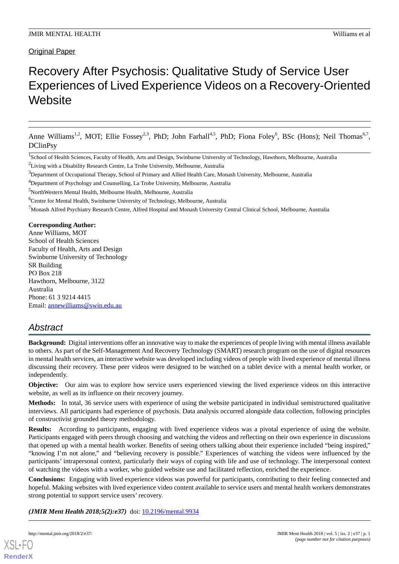# Recovery After Psychosis: Qualitative Study of Service User Experiences of Lived Experience Videos on a Recovery-Oriented **Website**

Anne Williams<sup>1,2</sup>, MOT; Ellie Fossey<sup>2,3</sup>, PhD; John Farhall<sup>4,5</sup>, PhD; Fiona Foley<sup>6</sup>, BSc (Hons); Neil Thomas<sup>6,7</sup>, DClinPsy

<sup>3</sup>Department of Occupational Therapy, School of Primary and Allied Health Care, Monash University, Melbourne, Australia

<sup>6</sup>Centre for Mental Health, Swinburne University of Technology, Melbourne, Australia

 $^7$ Monash Alfred Psychiatry Research Centre, Alfred Hospital and Monash University Central Clinical School, Melbourne, Australia

#### **Corresponding Author:**

Anne Williams, MOT School of Health Sciences Faculty of Health, Arts and Design Swinburne University of Technology SR Building PO Box 218 Hawthorn, Melbourne, 3122 Australia Phone: 61 3 9214 4415 Email: [annewilliams@swin.edu.au](mailto:annewilliams@swin.edu.au)

# *Abstract*

**Background:** Digital interventions offer an innovative way to make the experiences of people living with mental illness available to others. As part of the Self-Management And Recovery Technology (SMART) research program on the use of digital resources in mental health services, an interactive website was developed including videos of people with lived experience of mental illness discussing their recovery. These peer videos were designed to be watched on a tablet device with a mental health worker, or independently.

**Objective:** Our aim was to explore how service users experienced viewing the lived experience videos on this interactive website, as well as its influence on their recovery journey.

**Methods:** In total, 36 service users with experience of using the website participated in individual semistructured qualitative interviews. All participants had experience of psychosis. Data analysis occurred alongside data collection, following principles of constructivist grounded theory methodology.

**Results:** According to participants, engaging with lived experience videos was a pivotal experience of using the website. Participants engaged with peers through choosing and watching the videos and reflecting on their own experience in discussions that opened up with a mental health worker. Benefits of seeing others talking about their experience included "being inspired," "knowing I'm not alone," and "believing recovery is possible." Experiences of watching the videos were influenced by the participants' intrapersonal context, particularly their ways of coping with life and use of technology. The interpersonal context of watching the videos with a worker, who guided website use and facilitated reflection, enriched the experience.

**Conclusions:** Engaging with lived experience videos was powerful for participants, contributing to their feeling connected and hopeful. Making websites with lived experience video content available to service users and mental health workers demonstrates strong potential to support service users' recovery.

*(JMIR Ment Health 2018;5(2):e37)* doi: [10.2196/mental.9934](http://dx.doi.org/10.2196/mental.9934)

<sup>&</sup>lt;sup>1</sup>School of Health Sciences, Faculty of Health, Arts and Design, Swinburne University of Technology, Hawthorn, Melbourne, Australia

<sup>2</sup>Living with a Disability Research Centre, La Trobe University, Melbourne, Australia

<sup>&</sup>lt;sup>4</sup>Department of Psychology and Counselling, La Trobe University, Melbourne, Australia

<sup>5</sup>NorthWestern Mental Health, Melbourne Health, Melbourne, Australia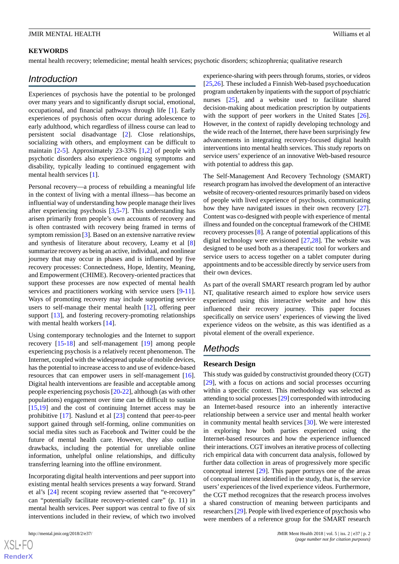#### **KEYWORDS**

mental health recovery; telemedicine; mental health services; psychotic disorders; schizophrenia; qualitative research

# *Introduction*

Experiences of psychosis have the potential to be prolonged over many years and to significantly disrupt social, emotional, occupational, and financial pathways through life [\[1](#page-10-0)]. Early experiences of psychosis often occur during adolescence to early adulthood, which regardless of illness course can lead to persistent social disadvantage [\[2](#page-10-1)]. Close relationships, socializing with others, and employment can be difficult to maintain [[2-](#page-10-1)[5](#page-10-2)]. Approximately 23-33% [\[1](#page-10-0),[2\]](#page-10-1) of people with psychotic disorders also experience ongoing symptoms and disability, typically leading to continued engagement with mental health services [\[1](#page-10-0)].

Personal recovery—a process of rebuilding a meaningful life in the context of living with a mental illness—has become an influential way of understanding how people manage their lives after experiencing psychosis [[3](#page-10-3)[,5](#page-10-2)-[7\]](#page-10-4). This understanding has arisen primarily from people's own accounts of recovery and is often contrasted with recovery being framed in terms of symptom remission [[3\]](#page-10-3). Based on an extensive narrative review and synthesis of literature about recovery, Leamy et al [\[8](#page-10-5)] summarize recovery as being an active, individual, and nonlinear journey that may occur in phases and is influenced by five recovery processes: Connectedness, Hope, Identity, Meaning, and Empowerment (CHIME). Recovery-oriented practices that support these processes are now expected of mental health services and practitioners working with service users [[9](#page-10-6)-[11\]](#page-10-7). Ways of promoting recovery may include supporting service users to self-manage their mental health [\[12](#page-10-8)], offering peer support [[13\]](#page-10-9), and fostering recovery-promoting relationships with mental health workers [\[14](#page-10-10)].

Using contemporary technologies and the Internet to support recovery [[15-](#page-10-11)[18\]](#page-10-12) and self-management [\[19](#page-10-13)] among people experiencing psychosis is a relatively recent phenomenon. The Internet, coupled with the widespread uptake of mobile devices, has the potential to increase access to and use of evidence-based resources that can empower users in self-management [[16\]](#page-10-14). Digital health interventions are feasible and acceptable among people experiencing psychosis [\[20](#page-10-15)[-22](#page-10-16)], although (as with other populations) engagement over time can be difficult to sustain [[15](#page-10-11)[,19](#page-10-13)] and the cost of continuing Internet access may be prohibitive [[17\]](#page-10-17). Naslund et al [[23\]](#page-11-0) contend that peer-to-peer support gained through self-forming, online communities on social media sites such as Facebook and Twitter could be the future of mental health care. However, they also outline drawbacks, including the potential for unreliable online information, unhelpful online relationships, and difficulty transferring learning into the offline environment.

Incorporating digital health interventions and peer support into existing mental health services presents a way forward. Strand et al's [[24\]](#page-11-1) recent scoping review asserted that "e-recovery" can "potentially facilitate recovery-oriented care" (p. 11) in mental health services. Peer support was central to five of six interventions included in their review, of which two involved

 $XS$  $\cdot$ FC **[RenderX](http://www.renderx.com/)** experience-sharing with peers through forums, stories, or videos [[25,](#page-11-2)[26\]](#page-11-3). These included a Finnish Web-based psychoeducation program undertaken by inpatients with the support of psychiatric nurses [\[25](#page-11-2)], and a website used to facilitate shared decision-making about medication prescription by outpatients with the support of peer workers in the United States [[26\]](#page-11-3). However, in the context of rapidly developing technology and the wide reach of the Internet, there have been surprisingly few advancements in integrating recovery-focused digital health interventions into mental health services. This study reports on service users' experience of an innovative Web-based resource with potential to address this gap.

The Self-Management And Recovery Technology (SMART) research program has involved the development of an interactive website of recovery-oriented resources primarily based on videos of people with lived experience of psychosis, communicating how they have navigated issues in their own recovery [[27\]](#page-11-4). Content was co-designed with people with experience of mental illness and founded on the conceptual framework of the CHIME recovery processes [[8\]](#page-10-5). A range of potential applications of this digital technology were envisioned [[27](#page-11-4)[,28](#page-11-5)]. The website was designed to be used both as a therapeutic tool for workers and service users to access together on a tablet computer during appointments and to be accessible directly by service users from their own devices.

As part of the overall SMART research program led by author NT, qualitative research aimed to explore how service users experienced using this interactive website and how this influenced their recovery journey. This paper focuses specifically on service users' experiences of viewing the lived experience videos on the website, as this was identified as a pivotal element of the overall experience.

# *Methods*

#### **Research Design**

This study was guided by constructivist grounded theory (CGT) [[29\]](#page-11-6), with a focus on actions and social processes occurring within a specific context. This methodology was selected as attending to social processes [[29](#page-11-6)] corresponded with introducing an Internet-based resource into an inherently interactive relationship between a service user and mental health worker in community mental health services [[30\]](#page-11-7). We were interested in exploring how both parties experienced using the Internet-based resources and how the experience influenced their interactions. CGT involves an iterative process of collecting rich empirical data with concurrent data analysis, followed by further data collection in areas of progressively more specific conceptual interest [\[29](#page-11-6)]. This paper portrays one of the areas of conceptual interest identified in the study, that is, the service users' experiences of the lived experience videos. Furthermore, the CGT method recognizes that the research process involves a shared construction of meaning between participants and researchers [\[29](#page-11-6)]. People with lived experience of psychosis who were members of a reference group for the SMART research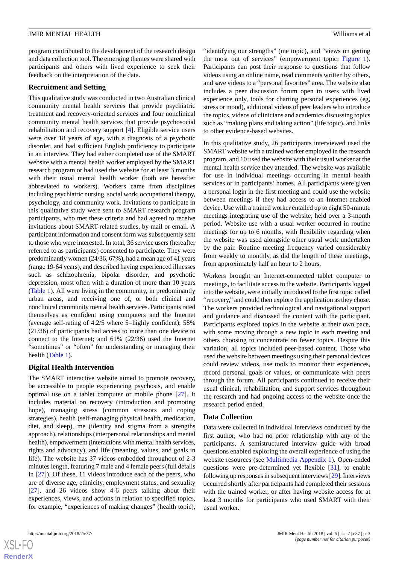program contributed to the development of the research design and data collection tool. The emerging themes were shared with participants and others with lived experience to seek their feedback on the interpretation of the data.

#### **Recruitment and Setting**

This qualitative study was conducted in two Australian clinical community mental health services that provide psychiatric treatment and recovery-oriented services and four nonclinical community mental health services that provide psychosocial rehabilitation and recovery support [[4\]](#page-10-18). Eligible service users were over 18 years of age, with a diagnosis of a psychotic disorder, and had sufficient English proficiency to participate in an interview. They had either completed use of the SMART website with a mental health worker employed by the SMART research program or had used the website for at least 3 months with their usual mental health worker (both are hereafter abbreviated to workers). Workers came from disciplines including psychiatric nursing, social work, occupational therapy, psychology, and community work. Invitations to participate in this qualitative study were sent to SMART research program participants, who met these criteria and had agreed to receive invitations about SMART-related studies, by mail or email. A participant information and consent form was subsequently sent to those who were interested. In total, 36 service users (hereafter referred to as participants) consented to participate. They were predominantly women (24/36, 67%), had a mean age of 41 years (range 19-64 years), and described having experienced illnesses such as schizophrenia, bipolar disorder, and psychotic depression, most often with a duration of more than 10 years ([Table 1\)](#page-3-0). All were living in the community, in predominantly urban areas, and receiving one of, or both clinical and nonclinical community mental health services. Participants rated themselves as confident using computers and the Internet (average self-rating of 4.2/5 where 5=highly confident); 58% (21/36) of participants had access to more than one device to connect to the Internet; and 61% (22/36) used the Internet "sometimes" or "often" for understanding or managing their health ([Table 1](#page-3-0)).

# **Digital Health Intervention**

The SMART interactive website aimed to promote recovery, be accessible to people experiencing psychosis, and enable optimal use on a tablet computer or mobile phone [\[27](#page-11-4)]. It includes material on recovery (introduction and promoting hope), managing stress (common stressors and coping strategies), health (self-managing physical health, medication, diet, and sleep), me (identity and stigma from a strengths approach), relationships (interpersonal relationships and mental health), empowerment (interactions with mental health services, rights and advocacy), and life (meaning, values, and goals in life). The website has 37 videos embedded throughout of 2-3 minutes length, featuring 7 male and 4 female peers (full details in [\[27](#page-11-4)]). Of these, 11 videos introduce each of the peers, who are of diverse age, ethnicity, employment status, and sexuality [[27\]](#page-11-4), and 26 videos show 4-6 peers talking about their experiences, views, and actions in relation to specified topics, for example, "experiences of making changes" (health topic),



 $XS$  • FO **[RenderX](http://www.renderx.com/)** "identifying our strengths" (me topic), and "views on getting the most out of services" (empowerment topic; [Figure 1\)](#page-4-0). Participants can post their response to questions that follow videos using an online name, read comments written by others, and save videos to a "personal favorites" area. The website also includes a peer discussion forum open to users with lived experience only, tools for charting personal experiences (eg, stress or mood), additional videos of peer leaders who introduce the topics, videos of clinicians and academics discussing topics such as "making plans and taking action" (life topic), and links to other evidence-based websites.

In this qualitative study, 26 participants interviewed used the SMART website with a trained worker employed in the research program, and 10 used the website with their usual worker at the mental health service they attended. The website was available for use in individual meetings occurring in mental health services or in participants' homes. All participants were given a personal login in the first meeting and could use the website between meetings if they had access to an Internet-enabled device. Use with a trained worker entailed up to eight 50-minute meetings integrating use of the website, held over a 3-month period. Website use with a usual worker occurred in routine meetings for up to 6 months, with flexibility regarding when the website was used alongside other usual work undertaken by the pair. Routine meeting frequency varied considerably from weekly to monthly, as did the length of these meetings, from approximately half an hour to 2 hours.

Workers brought an Internet-connected tablet computer to meetings, to facilitate access to the website. Participants logged into the website, were initially introduced to the first topic called "recovery," and could then explore the application as they chose. The workers provided technological and navigational support and guidance and discussed the content with the participant. Participants explored topics in the website at their own pace, with some moving through a new topic in each meeting and others choosing to concentrate on fewer topics. Despite this variation, all topics included peer-based content. Those who used the website between meetings using their personal devices could review videos, use tools to monitor their experiences, record personal goals or values, or communicate with peers through the forum. All participants continued to receive their usual clinical, rehabilitation, and support services throughout the research and had ongoing access to the website once the research period ended.

# **Data Collection**

Data were collected in individual interviews conducted by the first author, who had no prior relationship with any of the participants. A semistructured interview guide with broad questions enabled exploring the overall experience of using the website resources (see [Multimedia Appendix 1\)](#page-9-0). Open-ended questions were pre-determined yet flexible [[31\]](#page-11-8), to enable following up responses in subsequent interviews [[29](#page-11-6)]. Interviews occurred shortly after participants had completed their sessions with the trained worker, or after having website access for at least 3 months for participants who used SMART with their usual worker.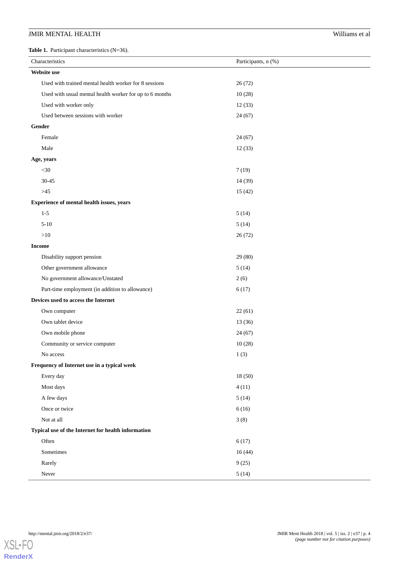<span id="page-3-0"></span>**Table 1.** Participant characteristics (N=36).

| Characteristics                                         | Participants, n (%) |  |
|---------------------------------------------------------|---------------------|--|
| <b>Website use</b>                                      |                     |  |
| Used with trained mental health worker for 8 sessions   | 26(72)              |  |
| Used with usual mental health worker for up to 6 months | 10(28)              |  |
| Used with worker only                                   | 12(33)              |  |
| Used between sessions with worker                       | 24(67)              |  |
| Gender                                                  |                     |  |
| Female                                                  | 24(67)              |  |
| Male                                                    | 12(33)              |  |
| Age, years                                              |                     |  |
| $<$ 30                                                  | 7(19)               |  |
| $30 - 45$                                               | 14 (39)             |  |
| $>45$                                                   | 15(42)              |  |
| Experience of mental health issues, years               |                     |  |
| $1 - 5$                                                 | 5(14)               |  |
| $5-10$                                                  | 5(14)               |  |
| >10                                                     | 26 (72)             |  |
| <b>Income</b>                                           |                     |  |
| Disability support pension                              | 29 (80)             |  |
| Other government allowance                              | 5(14)               |  |
| No government allowance/Unstated                        | 2(6)                |  |
| Part-time employment (in addition to allowance)         | 6(17)               |  |
| Devices used to access the Internet                     |                     |  |
| Own computer                                            | 22(61)              |  |
| Own tablet device                                       | 13(36)              |  |
| Own mobile phone                                        | 24(67)              |  |
| Community or service computer                           | 10(28)              |  |
| No access                                               | 1(3)                |  |
| Frequency of Internet use in a typical week             |                     |  |
| Every day                                               | 18 (50)             |  |
| Most days                                               | 4(11)               |  |
| A few days                                              | 5(14)               |  |
| Once or twice                                           | 6(16)               |  |
| Not at all                                              | 3(8)                |  |
| Typical use of the Internet for health information      |                     |  |
| Often                                                   | 6(17)               |  |
| Sometimes                                               | 16(44)              |  |
| Rarely                                                  | 9(25)               |  |
| ${\hbox{Never}}$                                        | 5(14)               |  |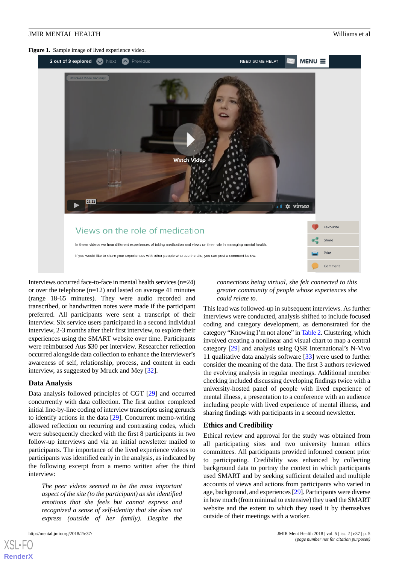<span id="page-4-0"></span>**Figure 1.** Sample image of lived experience video.



Interviews occurred face-to-face in mental health services (n=24) or over the telephone (n=12) and lasted on average 41 minutes (range 18-65 minutes). They were audio recorded and transcribed, or handwritten notes were made if the participant preferred. All participants were sent a transcript of their interview. Six service users participated in a second individual interview, 2-3 months after their first interview, to explore their experiences using the SMART website over time. Participants were reimbursed Aus \$30 per interview. Researcher reflection occurred alongside data collection to enhance the interviewer's awareness of self, relationship, process, and content in each interview, as suggested by Mruck and Mey [[32\]](#page-11-9).

#### **Data Analysis**

Data analysis followed principles of CGT [[29\]](#page-11-6) and occurred concurrently with data collection. The first author completed initial line-by-line coding of interview transcripts using gerunds to identify actions in the data [[29\]](#page-11-6). Concurrent memo-writing allowed reflection on recurring and contrasting codes, which were subsequently checked with the first 8 participants in two follow-up interviews and via an initial newsletter mailed to participants. The importance of the lived experience videos to participants was identified early in the analysis, as indicated by the following excerpt from a memo written after the third interview:

*The peer videos seemed to be the most important aspect of the site (to the participant) as she identified emotions that she feels but cannot express and recognized a sense of self-identity that she does not express (outside of her family). Despite the*

[XSL](http://www.w3.org/Style/XSL)•FO **[RenderX](http://www.renderx.com/)**

*connections being virtual, she felt connected to this greater community of people whose experiences she could relate to.*

This lead was followed-up in subsequent interviews. As further interviews were conducted, analysis shifted to include focused coding and category development, as demonstrated for the category "Knowing I'm not alone" in [Table 2.](#page-5-0) Clustering, which involved creating a nonlinear and visual chart to map a central category [[29\]](#page-11-6) and analysis using QSR International's N-Vivo 11 qualitative data analysis software [[33\]](#page-11-10) were used to further consider the meaning of the data. The first 3 authors reviewed the evolving analysis in regular meetings. Additional member checking included discussing developing findings twice with a university-hosted panel of people with lived experience of mental illness, a presentation to a conference with an audience including people with lived experience of mental illness, and sharing findings with participants in a second newsletter.

#### **Ethics and Credibility**

Ethical review and approval for the study was obtained from all participating sites and two university human ethics committees. All participants provided informed consent prior to participating. Credibility was enhanced by collecting background data to portray the context in which participants used SMART and by seeking sufficient detailed and multiple accounts of views and actions from participants who varied in age, background, and experiences [\[29\]](#page-11-6). Participants were diverse in how much (from minimal to extensive) they used the SMART website and the extent to which they used it by themselves outside of their meetings with a worker.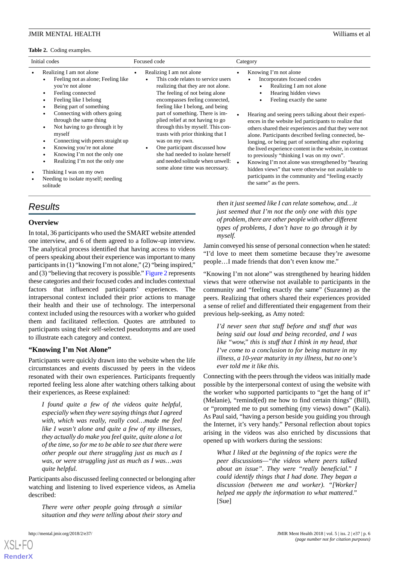#### <span id="page-5-0"></span>**Table 2.** Coding examples.

| Initial codes                                                                                                                                                                                                                                                                                                                                                                                                                                                                                                | Focused code                                                                                                                                                                                                                                                                                                                                                                                                                                                                                                                             | Category                                                                                                                                                                                                                                                                                                                                                                                                                                                                                                                                                                                                                                                                                                                                                                    |
|--------------------------------------------------------------------------------------------------------------------------------------------------------------------------------------------------------------------------------------------------------------------------------------------------------------------------------------------------------------------------------------------------------------------------------------------------------------------------------------------------------------|------------------------------------------------------------------------------------------------------------------------------------------------------------------------------------------------------------------------------------------------------------------------------------------------------------------------------------------------------------------------------------------------------------------------------------------------------------------------------------------------------------------------------------------|-----------------------------------------------------------------------------------------------------------------------------------------------------------------------------------------------------------------------------------------------------------------------------------------------------------------------------------------------------------------------------------------------------------------------------------------------------------------------------------------------------------------------------------------------------------------------------------------------------------------------------------------------------------------------------------------------------------------------------------------------------------------------------|
| Realizing I am not alone<br>$\bullet$<br>Feeling not as alone; Feeling like<br>you're not alone<br>Feeling connected<br>Feeling like I belong<br>Being part of something<br>Connecting with others going<br>through the same thing<br>Not having to go through it by<br>myself<br>Connecting with peers straight up<br>Knowing you're not alone<br>Knowing I'm not the only one<br>Realizing I'm not the only one<br>Thinking I was on my own<br>$\bullet$<br>Needing to isolate myself; needing<br>solitude | Realizing I am not alone<br>This code relates to service users<br>realizing that they are not alone.<br>The feeling of not being alone<br>encompasses feeling connected,<br>feeling like I belong, and being<br>part of something. There is im-<br>plied relief at not having to go<br>through this by myself. This con-<br>trasts with prior thinking that I<br>was on my own.<br>One participant discussed how<br>$\bullet$<br>she had needed to isolate herself<br>and needed solitude when unwell:<br>some alone time was necessary. | Knowing I'm not alone<br>$\bullet$<br>Incorporates focused codes<br>Realizing I am not alone<br>Hearing hidden views<br>$\bullet$<br>Feeling exactly the same<br>$\bullet$<br>Hearing and seeing peers talking about their experi-<br>ences in the website led participants to realize that<br>others shared their experiences and that they were not<br>alone. Participants described feeling connected, be-<br>longing, or being part of something after exploring<br>the lived experience content in the website, in contrast<br>to previously "thinking I was on my own".<br>Knowing I'm not alone was strengthened by "hearing"<br>hidden views" that were otherwise not available to<br>participants in the community and "feeling exactly<br>the same" as the peers. |

# *Results*

#### **Overview**

In total, 36 participants who used the SMART website attended one interview, and 6 of them agreed to a follow-up interview. The analytical process identified that having access to videos of peers speaking about their experience was important to many participants in (1) "knowing I'm not alone," (2) "being inspired," and (3) "believing that recovery is possible." [Figure 2](#page-6-0) represents these categories and their focused codes and includes contextual factors that influenced participants' experiences. The intrapersonal context included their prior actions to manage their health and their use of technology. The interpersonal context included using the resources with a worker who guided them and facilitated reflection. Quotes are attributed to participants using their self-selected pseudonyms and are used to illustrate each category and context.

#### **"Knowing I'm Not Alone"**

Participants were quickly drawn into the website when the life circumstances and events discussed by peers in the videos resonated with their own experiences. Participants frequently reported feeling less alone after watching others talking about their experiences, as Reese explained:

*I found quite a few of the videos quite helpful, especially when they were saying things that I agreed with, which was really, really cool…made me feel like I wasn't alone and quite a few of my illnesses, they actually do make you feel quite, quite alone a lot of the time, so for me to be able to see that there were other people out there struggling just as much as I was, or were struggling just as much as I was…was quite helpful.*

Participants also discussed feeling connected or belonging after watching and listening to lived experience videos, as Amelia described:

*There were other people going through a similar situation and they were telling about their story and*

[XSL](http://www.w3.org/Style/XSL)•FO **[RenderX](http://www.renderx.com/)**

*then it just seemed like I can relate somehow, and…it just seemed that I'm not the only one with this type of problem, there are other people with other different types of problems, I don't have to go through it by myself.*

Jamin conveyed his sense of personal connection when he stated: "I'd love to meet them sometime because they're awesome people…I made friends that don't even know me."

"Knowing I'm not alone" was strengthened by hearing hidden views that were otherwise not available to participants in the community and "feeling exactly the same" (Suzanne) as the peers. Realizing that others shared their experiences provided a sense of relief and differentiated their engagement from their previous help-seeking, as Amy noted:

*I'd never seen that stuff before and stuff that was being said out loud and being recorded, and I was like "wow," this is stuff that I think in my head, that I've come to a conclusion to for being mature in my illness, a 10-year maturity in my illness, but no one's ever told me it like this.*

Connecting with the peers through the videos was initially made possible by the interpersonal context of using the website with the worker who supported participants to "get the hang of it" (Melanie), "remind(ed) me how to find certain things" (Bill), or "prompted me to put something (my views) down" (Kali). As Paul said, "having a person beside you guiding you through the Internet, it's very handy." Personal reflection about topics arising in the videos was also enriched by discussions that opened up with workers during the sessions:

*What I liked at the beginning of the topics were the peer discussions—"the videos where peers talked about an issue". They were "really beneficial." I could identify things that I had done. They began a discussion (between me and worker). "[Worker] helped me apply the information to what mattered."* [Sue]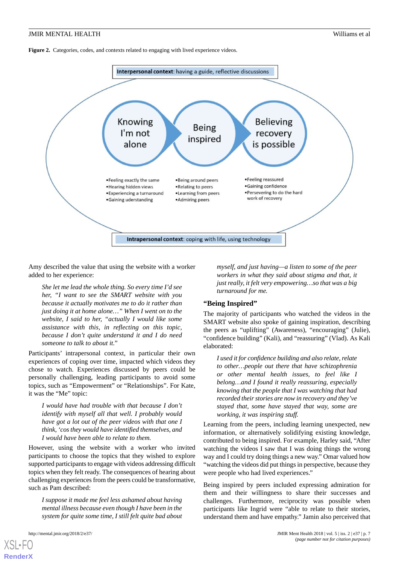<span id="page-6-0"></span>Figure 2. Categories, codes, and contexts related to engaging with lived experience videos.



Amy described the value that using the website with a worker added to her experience:

*She let me lead the whole thing. So every time I'd see her, "I want to see the SMART website with you because it actually motivates me to do it rather than just doing it at home alone…" When I went on to the website, I said to her, "actually I would like some assistance with this, in reflecting on this topic, because I don't quite understand it and I do need someone to talk to about it."*

Participants' intrapersonal context, in particular their own experiences of coping over time, impacted which videos they chose to watch. Experiences discussed by peers could be personally challenging, leading participants to avoid some topics, such as "Empowerment" or "Relationships". For Kate, it was the "Me" topic:

*I would have had trouble with that because I don't identify with myself all that well. I probably would have got a lot out of the peer videos with that one I think, 'cos they would have identified themselves, and I would have been able to relate to them.*

However, using the website with a worker who invited participants to choose the topics that they wished to explore supported participants to engage with videos addressing difficult topics when they felt ready. The consequences of hearing about challenging experiences from the peers could be transformative, such as Pam described:

*I suppose it made me feel less ashamed about having mental illness because even though I have been in the system for quite some time, I still felt quite bad about*

*myself, and just having—a listen to some of the peer workers in what they said about stigma and that, it just really, it felt very empowering…so that was a big turnaround for me.*

#### **"Being Inspired"**

The majority of participants who watched the videos in the SMART website also spoke of gaining inspiration, describing the peers as "uplifting" (Awareness), "encouraging" (Julie), "confidence building" (Kali), and "reassuring" (Vlad). As Kali elaborated:

*I used it for confidence building and also relate, relate to other…people out there that have schizophrenia or other mental health issues, to feel like I belong…and I found it really reassuring, especially knowing that the people that I was watching that had recorded their stories are now in recovery and they've stayed that, some have stayed that way, some are working, it was inspiring stuff.*

Learning from the peers, including learning unexpected, new information, or alternatively solidifying existing knowledge, contributed to being inspired. For example, Harley said, "After watching the videos I saw that I was doing things the wrong way and I could try doing things a new way." Omar valued how "watching the videos did put things in perspective, because they were people who had lived experiences."

Being inspired by peers included expressing admiration for them and their willingness to share their successes and challenges. Furthermore, reciprocity was possible when participants like Ingrid were "able to relate to their stories, understand them and have empathy." Jamin also perceived that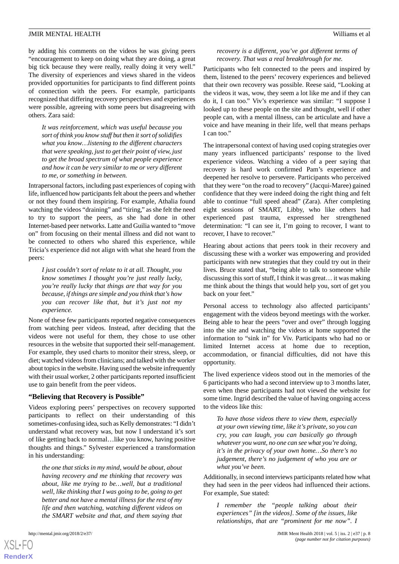by adding his comments on the videos he was giving peers "encouragement to keep on doing what they are doing, a great big tick because they were really, really doing it very well." The diversity of experiences and views shared in the videos provided opportunities for participants to find different points of connection with the peers. For example, participants recognized that differing recovery perspectives and experiences were possible, agreeing with some peers but disagreeing with others. Zara said:

*It was reinforcement, which was useful because you sort of think you know stuff but then it sort of solidifies what you know…listening to the different characters that were speaking, just to get their point of view, just to get the broad spectrum of what people experience and how it can be very similar to me or very different to me, or something in between.*

Intrapersonal factors, including past experiences of coping with life, influenced how participants felt about the peers and whether or not they found them inspiring. For example, Athalia found watching the videos "draining" and "tiring," as she felt the need to try to support the peers, as she had done in other Internet-based peer networks. Latte and Guilia wanted to "move on" from focusing on their mental illness and did not want to be connected to others who shared this experience, while Tricia's experience did not align with what she heard from the peers:

*I just couldn't sort of relate to it at all. Thought, you know sometimes I thought you're just really lucky, you're really lucky that things are that way for you because, if things are simple and you think that's how you can recover like that, but it's just not my experience.*

None of these few participants reported negative consequences from watching peer videos. Instead, after deciding that the videos were not useful for them, they chose to use other resources in the website that supported their self-management. For example, they used charts to monitor their stress, sleep, or diet; watched videos from clinicians; and talked with the worker about topics in the website. Having used the website infrequently with their usual worker, 2 other participants reported insufficient use to gain benefit from the peer videos.

#### **"Believing that Recovery is Possible"**

Videos exploring peers' perspectives on recovery supported participants to reflect on their understanding of this sometimes-confusing idea, such as Kelly demonstrates: "I didn't understand what recovery was, but now I understand it's sort of like getting back to normal…like you know, having positive thoughts and things." Sylvester experienced a transformation in his understanding:

*the one that sticks in my mind, would be about, about having recovery and me thinking that recovery was about, like me trying to be…well, but a traditional well, like thinking that I was going to be, going to get better and not have a mental illness for the rest of my life and then watching, watching different videos on the SMART website and that, and them saying that*

#### *recovery is a different, you've got different terms of recovery. That was a real breakthrough for me.*

Participants who felt connected to the peers and inspired by them, listened to the peers' recovery experiences and believed that their own recovery was possible. Reese said, "Looking at the videos it was, wow, they seem a lot like me and if they can do it, I can too." Viv's experience was similar: "I suppose I looked up to these people on the site and thought, well if other people can, with a mental illness, can be articulate and have a voice and have meaning in their life, well that means perhaps I can too."

The intrapersonal context of having used coping strategies over many years influenced participants' response to the lived experience videos. Watching a video of a peer saying that recovery is hard work confirmed Pam's experience and deepened her resolve to persevere. Participants who perceived that they were "on the road to recovery" (Jacqui-Maree) gained confidence that they were indeed doing the right thing and felt able to continue "full speed ahead" (Zara). After completing eight sessions of SMART, Libby, who like others had experienced past trauma, expressed her strengthened determination: "I can see it, I'm going to recover, I want to recover, I have to recover."

Hearing about actions that peers took in their recovery and discussing these with a worker was empowering and provided participants with new strategies that they could try out in their lives. Bruce stated that, "being able to talk to someone while discussing this sort of stuff, I think it was great… it was making me think about the things that would help you, sort of get you back on your feet."

Personal access to technology also affected participants' engagement with the videos beyond meetings with the worker. Being able to hear the peers "over and over" through logging into the site and watching the videos at home supported the information to "sink in" for Viv. Participants who had no or limited Internet access at home due to reception, accommodation, or financial difficulties, did not have this opportunity.

The lived experience videos stood out in the memories of the 6 participants who had a second interview up to 3 months later, even when these participants had not viewed the website for some time. Ingrid described the value of having ongoing access to the videos like this:

*To have those videos there to view them, especially at your own viewing time, like it's private, so you can cry, you can laugh, you can basically go through whatever you want, no one can see what you're doing, it's in the privacy of your own home…So there's no judgement, there's no judgement of who you are or what you've been.*

Additionally, in second interviews participants related how what they had seen in the peer videos had influenced their actions. For example, Sue stated:

*I remember the "people talking about their experiences" [in the videos]. Some of the issues, like relationships, that are "prominent for me now". I*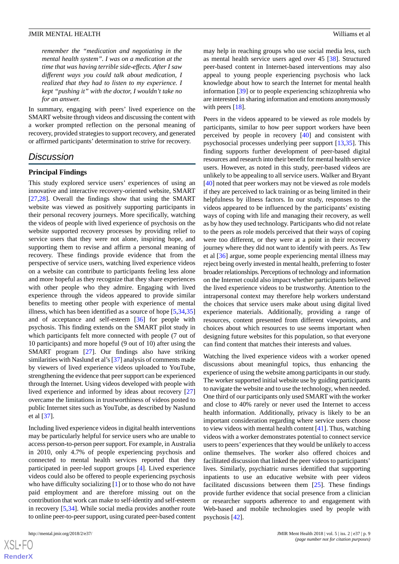*remember the "medication and negotiating in the mental health system". I was on a medication at the time that was having terrible side-effects. After I saw different ways you could talk about medication, I realized that they had to listen to my experience. I kept "pushing it" with the doctor, I wouldn't take no for an answer.*

In summary, engaging with peers' lived experience on the SMART website through videos and discussing the content with a worker prompted reflection on the personal meaning of recovery, provided strategies to support recovery, and generated or affirmed participants' determination to strive for recovery.

# *Discussion*

#### **Principal Findings**

This study explored service users' experiences of using an innovative and interactive recovery-oriented website, SMART [[27](#page-11-4)[,28](#page-11-5)]. Overall the findings show that using the SMART website was viewed as positively supporting participants in their personal recovery journeys. More specifically, watching the videos of people with lived experience of psychosis on the website supported recovery processes by providing relief to service users that they were not alone, inspiring hope, and supporting them to revise and affirm a personal meaning of recovery. These findings provide evidence that from the perspective of service users, watching lived experience videos on a website can contribute to participants feeling less alone and more hopeful as they recognize that they share experiences with other people who they admire. Engaging with lived experience through the videos appeared to provide similar benefits to meeting other people with experience of mental illness, which has been identified as a source of hope [\[5](#page-10-2),[34](#page-11-11)[,35](#page-11-12)] and of acceptance and self-esteem [[36\]](#page-11-13) for people with psychosis. This finding extends on the SMART pilot study in which participants felt more connected with people (7 out of 10 participants) and more hopeful (9 out of 10) after using the SMART program [[27\]](#page-11-4). Our findings also have striking similarities with Naslund et al's [[37](#page-11-14)] analysis of comments made by viewers of lived experience videos uploaded to YouTube, strengthening the evidence that peer support can be experienced through the Internet. Using videos developed with people with lived experience and informed by ideas about recovery [\[27](#page-11-4)] overcame the limitations in trustworthiness of videos posted to public Internet sites such as YouTube, as described by Naslund et al [\[37](#page-11-14)].

Including lived experience videos in digital health interventions may be particularly helpful for service users who are unable to access person-to-person peer support. For example, in Australia in 2010, only 4.7% of people experiencing psychosis and connected to mental health services reported that they participated in peer-led support groups [[4\]](#page-10-18). Lived experience videos could also be offered to people experiencing psychosis who have difficulty socializing [\[1](#page-10-0)] or to those who do not have paid employment and are therefore missing out on the contribution that work can make to self-identity and self-esteem in recovery [\[5](#page-10-2),[34\]](#page-11-11). While social media provides another route to online peer-to-peer support, using curated peer-based content

may help in reaching groups who use social media less, such as mental health service users aged over 45 [[38\]](#page-11-15). Structured peer-based content in Internet-based interventions may also appeal to young people experiencing psychosis who lack knowledge about how to search the Internet for mental health information [[39\]](#page-11-16) or to people experiencing schizophrenia who are interested in sharing information and emotions anonymously with peers [[18\]](#page-10-12).

Peers in the videos appeared to be viewed as role models by participants, similar to how peer support workers have been perceived by people in recovery [\[40](#page-11-17)] and consistent with psychosocial processes underlying peer support [[13,](#page-10-9)[35\]](#page-11-12). This finding supports further development of peer-based digital resources and research into their benefit for mental health service users. However, as noted in this study, peer-based videos are unlikely to be appealing to all service users. Walker and Bryant [[40\]](#page-11-17) noted that peer workers may not be viewed as role models if they are perceived to lack training or as being limited in their helpfulness by illness factors. In our study, responses to the videos appeared to be influenced by the participants' existing ways of coping with life and managing their recovery, as well as by how they used technology. Participants who did not relate to the peers as role models perceived that their ways of coping were too different, or they were at a point in their recovery journey where they did not want to identify with peers. As Tew et al [[36\]](#page-11-13) argue, some people experiencing mental illness may reject being overly invested in mental health, preferring to foster broader relationships. Perceptions of technology and information on the Internet could also impact whether participants believed the lived experience videos to be trustworthy. Attention to the intrapersonal context may therefore help workers understand the choices that service users make about using digital lived experience materials. Additionally, providing a range of resources, content presented from different viewpoints, and choices about which resources to use seems important when designing future websites for this population, so that everyone can find content that matches their interests and values.

Watching the lived experience videos with a worker opened discussions about meaningful topics, thus enhancing the experience of using the website among participants in our study. The worker supported initial website use by guiding participants to navigate the website and to use the technology, when needed. One third of our participants only used SMART with the worker and close to 40% rarely or never used the Internet to access health information. Additionally, privacy is likely to be an important consideration regarding where service users choose to view videos with mental health content [[41\]](#page-11-18). Thus, watching videos with a worker demonstrates potential to connect service users to peers' experiences that they would be unlikely to access online themselves. The worker also offered choices and facilitated discussion that linked the peer videos to participants' lives. Similarly, psychiatric nurses identified that supporting inpatients to use an educative website with peer videos facilitated discussions between them [[25\]](#page-11-2). These findings provide further evidence that social presence from a clinician or researcher supports adherence to and engagement with Web-based and mobile technologies used by people with psychosis [\[42](#page-11-19)].

 $XS$  $\cdot$ FC **[RenderX](http://www.renderx.com/)**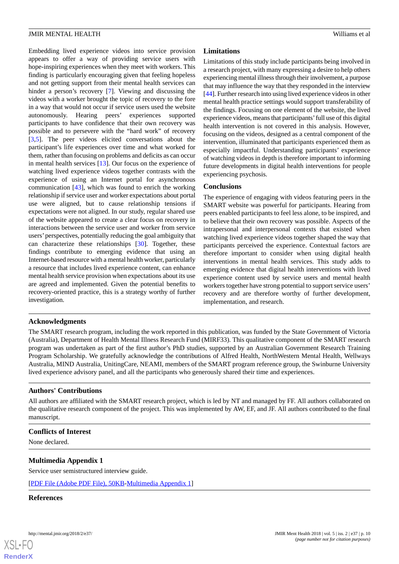Embedding lived experience videos into service provision appears to offer a way of providing service users with hope-inspiring experiences when they meet with workers. This finding is particularly encouraging given that feeling hopeless and not getting support from their mental health services can hinder a person's recovery [\[7](#page-10-4)]. Viewing and discussing the videos with a worker brought the topic of recovery to the fore in a way that would not occur if service users used the website autonomously. Hearing peers' experiences supported participants to have confidence that their own recovery was possible and to persevere with the "hard work" of recovery [[3](#page-10-3)[,5](#page-10-2)]. The peer videos elicited conversations about the participant's life experiences over time and what worked for them, rather than focusing on problems and deficits as can occur in mental health services [\[13](#page-10-9)]. Our focus on the experience of watching lived experience videos together contrasts with the experience of using an Internet portal for asynchronous communication [\[43](#page-11-20)], which was found to enrich the working relationship if service user and worker expectations about portal use were aligned, but to cause relationship tensions if expectations were not aligned. In our study, regular shared use of the website appeared to create a clear focus on recovery in interactions between the service user and worker from service users'perspectives, potentially reducing the goal ambiguity that can characterize these relationships [\[30](#page-11-7)]. Together, these findings contribute to emerging evidence that using an Internet-based resource with a mental health worker, particularly a resource that includes lived experience content, can enhance mental health service provision when expectations about its use are agreed and implemented. Given the potential benefits to recovery-oriented practice, this is a strategy worthy of further investigation.

# **Limitations**

Limitations of this study include participants being involved in a research project, with many expressing a desire to help others experiencing mental illness through their involvement, a purpose that may influence the way that they responded in the interview [[44\]](#page-11-21). Further research into using lived experience videos in other mental health practice settings would support transferability of the findings. Focusing on one element of the website, the lived experience videos, means that participants'full use of this digital health intervention is not covered in this analysis. However, focusing on the videos, designed as a central component of the intervention, illuminated that participants experienced them as especially impactful. Understanding participants' experience of watching videos in depth is therefore important to informing future developments in digital health interventions for people experiencing psychosis.

# **Conclusions**

The experience of engaging with videos featuring peers in the SMART website was powerful for participants. Hearing from peers enabled participants to feel less alone, to be inspired, and to believe that their own recovery was possible. Aspects of the intrapersonal and interpersonal contexts that existed when watching lived experience videos together shaped the way that participants perceived the experience. Contextual factors are therefore important to consider when using digital health interventions in mental health services. This study adds to emerging evidence that digital health interventions with lived experience content used by service users and mental health workers together have strong potential to support service users' recovery and are therefore worthy of further development, implementation, and research.

# **Acknowledgments**

The SMART research program, including the work reported in this publication, was funded by the State Government of Victoria (Australia), Department of Health Mental Illness Research Fund (MIRF33). This qualitative component of the SMART research program was undertaken as part of the first author's PhD studies, supported by an Australian Government Research Training Program Scholarship. We gratefully acknowledge the contributions of Alfred Health, NorthWestern Mental Health, Wellways Australia, MIND Australia, UnitingCare, NEAMI, members of the SMART program reference group, the Swinburne University lived experience advisory panel, and all the participants who generously shared their time and experiences.

# **Authors' Contributions**

<span id="page-9-0"></span>All authors are affiliated with the SMART research project, which is led by NT and managed by FF. All authors collaborated on the qualitative research component of the project. This was implemented by AW, EF, and JF. All authors contributed to the final manuscript.

#### **Conflicts of Interest**

None declared.

# **Multimedia Appendix 1**

Service user semistructured interview guide.

[[PDF File \(Adobe PDF File\), 50KB-Multimedia Appendix 1](https://jmir.org/api/download?alt_name=mental_v5i2e37_app1.pdf&filename=c47c05bded5be02ffb17944cbc6fe41b.pdf)]

#### **References**

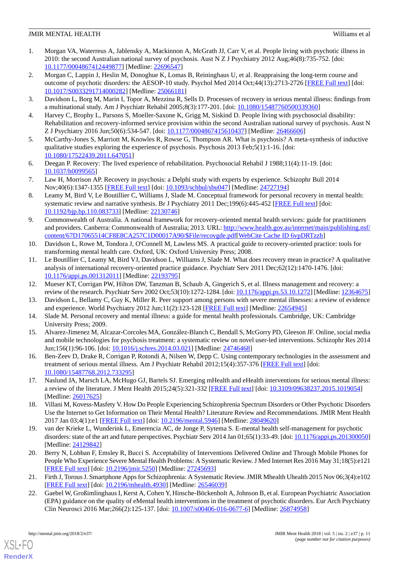- <span id="page-10-0"></span>1. Morgan VA, Waterreus A, Jablensky A, Mackinnon A, McGrath JJ, Carr V, et al. People living with psychotic illness in 2010: the second Australian national survey of psychosis. Aust N Z J Psychiatry 2012 Aug;46(8):735-752. [doi: [10.1177/0004867412449877\]](http://dx.doi.org/10.1177/0004867412449877) [Medline: [22696547\]](http://www.ncbi.nlm.nih.gov/entrez/query.fcgi?cmd=Retrieve&db=PubMed&list_uids=22696547&dopt=Abstract)
- <span id="page-10-1"></span>2. Morgan C, Lappin J, Heslin M, Donoghue K, Lomas B, Reininghaus U, et al. Reappraising the long-term course and outcome of psychotic disorders: the AESOP-10 study. Psychol Med 2014 Oct;44(13):2713-2726 [[FREE Full text](http://europepmc.org/abstract/MED/25066181)] [doi: [10.1017/S0033291714000282](http://dx.doi.org/10.1017/S0033291714000282)] [Medline: [25066181](http://www.ncbi.nlm.nih.gov/entrez/query.fcgi?cmd=Retrieve&db=PubMed&list_uids=25066181&dopt=Abstract)]
- <span id="page-10-18"></span><span id="page-10-3"></span>3. Davidson L, Borg M, Marin I, Topor A, Mezzina R, Sells D. Processes of recovery in serious mental illness: findings from a multinational study. Am J Psychiatr Rehabil 2005;8(3):177-201. [doi: [10.1080/15487760500339360\]](http://dx.doi.org/10.1080/15487760500339360)
- <span id="page-10-2"></span>4. Harvey C, Brophy L, Parsons S, Moeller-Saxone K, Grigg M, Siskind D. People living with psychosocial disability: Rehabilitation and recovery-informed service provision within the second Australian national survey of psychosis. Aust N Z J Psychiatry 2016 Jun;50(6):534-547. [doi: [10.1177/0004867415610437\]](http://dx.doi.org/10.1177/0004867415610437) [Medline: [26466606\]](http://www.ncbi.nlm.nih.gov/entrez/query.fcgi?cmd=Retrieve&db=PubMed&list_uids=26466606&dopt=Abstract)
- 5. McCarthy-Jones S, Marriott M, Knowles R, Rowse G, Thompson AR. What is psychosis? A meta-synthesis of inductive qualitative studies exploring the experience of psychosis. Psychosis 2013 Feb;5(1):1-16. [doi: [10.1080/17522439.2011.647051\]](http://dx.doi.org/10.1080/17522439.2011.647051)
- <span id="page-10-4"></span>6. Deegan P. Recovery: The lived experience of rehabilitation. Psychosocial Rehabil J 1988;11(4):11-19. [doi: [10.1037/h0099565\]](http://dx.doi.org/10.1037/h0099565)
- <span id="page-10-5"></span>7. Law H, Morrison AP. Recovery in psychosis: a Delphi study with experts by experience. Schizophr Bull 2014 Nov;40(6):1347-1355 [[FREE Full text](http://europepmc.org/abstract/MED/24727194)] [doi: [10.1093/schbul/sbu047](http://dx.doi.org/10.1093/schbul/sbu047)] [Medline: [24727194](http://www.ncbi.nlm.nih.gov/entrez/query.fcgi?cmd=Retrieve&db=PubMed&list_uids=24727194&dopt=Abstract)]
- <span id="page-10-6"></span>8. Leamy M, Bird V, Le Boutillier C, Williams J, Slade M. Conceptual framework for personal recovery in mental health: systematic review and narrative synthesis. Br J Psychiatry 2011 Dec;199(6):445-452 [\[FREE Full text\]](https://doi.org/10.1192/bjp.bp.110.083733) [doi: [10.1192/bjp.bp.110.083733](http://dx.doi.org/10.1192/bjp.bp.110.083733)] [Medline: [22130746\]](http://www.ncbi.nlm.nih.gov/entrez/query.fcgi?cmd=Retrieve&db=PubMed&list_uids=22130746&dopt=Abstract)
- 9. Commonwealth of Australia. A national framework for recovery-oriented mental health services: guide for practitioners and providers. Canberra: Commonwealth of Australia; 2013. URL: [http://www.health.gov.au/internet/main/publishing.nsf/](http://www.health.gov.au/internet/main/publishing.nsf/content/67D17065514CF8E8CA257C1D00017A90/$File/recovgde.pdf) [content/67D17065514CF8E8CA257C1D00017A90/\\$File/recovgde.pdf\[](http://www.health.gov.au/internet/main/publishing.nsf/content/67D17065514CF8E8CA257C1D00017A90/$File/recovgde.pdf)[WebCite Cache ID 6vpDRTzzh](http://www.webcitation.org/

                                6vpDRTzzh)]
- <span id="page-10-7"></span>10. Davidson L, Rowe M, Tondora J, O'Connell M, Lawless MS. A practical guide to recovery-oriented practice: tools for transforming mental health care. Oxford, UK: Oxford University Press; 2008.
- <span id="page-10-9"></span><span id="page-10-8"></span>11. Le Boutillier C, Leamy M, Bird VJ, Davidson L, Williams J, Slade M. What does recovery mean in practice? A qualitative analysis of international recovery-oriented practice guidance. Psychiatr Serv 2011 Dec;62(12):1470-1476. [doi: [10.1176/appi.ps.001312011\]](http://dx.doi.org/10.1176/appi.ps.001312011) [Medline: [22193795\]](http://www.ncbi.nlm.nih.gov/entrez/query.fcgi?cmd=Retrieve&db=PubMed&list_uids=22193795&dopt=Abstract)
- <span id="page-10-10"></span>12. Mueser KT, Corrigan PW, Hilton DW, Tanzman B, Schaub A, Gingerich S, et al. Illness management and recovery: a review of the research. Psychiatr Serv 2002 Oct;53(10):1272-1284. [doi: [10.1176/appi.ps.53.10.1272](http://dx.doi.org/10.1176/appi.ps.53.10.1272)] [Medline: [12364675](http://www.ncbi.nlm.nih.gov/entrez/query.fcgi?cmd=Retrieve&db=PubMed&list_uids=12364675&dopt=Abstract)]
- <span id="page-10-11"></span>13. Davidson L, Bellamy C, Guy K, Miller R. Peer support among persons with severe mental illnesses: a review of evidence and experience. World Psychiatry 2012 Jun;11(2):123-128 [\[FREE Full text\]](http://europepmc.org/abstract/MED/22654945) [Medline: [22654945](http://www.ncbi.nlm.nih.gov/entrez/query.fcgi?cmd=Retrieve&db=PubMed&list_uids=22654945&dopt=Abstract)]
- <span id="page-10-14"></span>14. Slade M. Personal recovery and mental illness: a guide for mental health professionals. Cambridge, UK: Cambridge University Press; 2009.
- <span id="page-10-17"></span>15. Alvarez-Jimenez M, Alcazar-Corcoles MA, González-Blanch C, Bendall S, McGorry PD, Gleeson JF. Online, social media and mobile technologies for psychosis treatment: a systematic review on novel user-led interventions. Schizophr Res 2014 Jun;156(1):96-106. [doi: [10.1016/j.schres.2014.03.021](http://dx.doi.org/10.1016/j.schres.2014.03.021)] [Medline: [24746468](http://www.ncbi.nlm.nih.gov/entrez/query.fcgi?cmd=Retrieve&db=PubMed&list_uids=24746468&dopt=Abstract)]
- <span id="page-10-12"></span>16. Ben-Zeev D, Drake R, Corrigan P, Rotondi A, Nilsen W, Depp C. Using contemporary technologies in the assessment and treatment of serious mental illness. Am J Psychiatr Rehabil 2012;15(4):357-376 [\[FREE Full text\]](https://doi.org/10.1080/15487768.2012.733295) [doi: [10.1080/15487768.2012.733295\]](http://dx.doi.org/10.1080/15487768.2012.733295)
- <span id="page-10-13"></span>17. Naslund JA, Marsch LA, McHugo GJ, Bartels SJ. Emerging mHealth and eHealth interventions for serious mental illness: a review of the literature. J Ment Health 2015;24(5):321-332 [[FREE Full text](http://europepmc.org/abstract/MED/26017625)] [doi: [10.3109/09638237.2015.1019054\]](http://dx.doi.org/10.3109/09638237.2015.1019054) [Medline: [26017625](http://www.ncbi.nlm.nih.gov/entrez/query.fcgi?cmd=Retrieve&db=PubMed&list_uids=26017625&dopt=Abstract)]
- <span id="page-10-15"></span>18. Villani M, Kovess-Masfety V. How Do People Experiencing Schizophrenia Spectrum Disorders or Other Psychotic Disorders Use the Internet to Get Information on Their Mental Health? Literature Review and Recommendations. JMIR Ment Health 2017 Jan 03;4(1):e1 [\[FREE Full text\]](http://mental.jmir.org/2017/1/e1/) [doi: [10.2196/mental.5946\]](http://dx.doi.org/10.2196/mental.5946) [Medline: [28049620\]](http://www.ncbi.nlm.nih.gov/entrez/query.fcgi?cmd=Retrieve&db=PubMed&list_uids=28049620&dopt=Abstract)
- 19. van der Krieke L, Wunderink L, Emerencia AC, de Jonge P, Sytema S. E-mental health self-management for psychotic disorders: state of the art and future perspectives. Psychiatr Serv 2014 Jan 01;65(1):33-49. [doi: [10.1176/appi.ps.201300050\]](http://dx.doi.org/10.1176/appi.ps.201300050) [Medline: [24129842](http://www.ncbi.nlm.nih.gov/entrez/query.fcgi?cmd=Retrieve&db=PubMed&list_uids=24129842&dopt=Abstract)]
- <span id="page-10-16"></span>20. Berry N, Lobban F, Emsley R, Bucci S. Acceptability of Interventions Delivered Online and Through Mobile Phones for People Who Experience Severe Mental Health Problems: A Systematic Review. J Med Internet Res 2016 May 31;18(5):e121 [[FREE Full text](http://www.jmir.org/2016/5/e121/)] [doi: [10.2196/jmir.5250](http://dx.doi.org/10.2196/jmir.5250)] [Medline: [27245693](http://www.ncbi.nlm.nih.gov/entrez/query.fcgi?cmd=Retrieve&db=PubMed&list_uids=27245693&dopt=Abstract)]
- 21. Firth J, Torous J. Smartphone Apps for Schizophrenia: A Systematic Review. JMIR Mhealth Uhealth 2015 Nov 06;3(4):e102 [[FREE Full text](http://mhealth.jmir.org/2015/4/e102/)] [doi: [10.2196/mhealth.4930\]](http://dx.doi.org/10.2196/mhealth.4930) [Medline: [26546039](http://www.ncbi.nlm.nih.gov/entrez/query.fcgi?cmd=Retrieve&db=PubMed&list_uids=26546039&dopt=Abstract)]
- 22. Gaebel W, Großimlinghaus I, Kerst A, Cohen Y, Hinsche-Böckenholt A, Johnson B, et al. European Psychiatric Association (EPA) guidance on the quality of eMental health interventions in the treatment of psychotic disorders. Eur Arch Psychiatry Clin Neurosci 2016 Mar;266(2):125-137. [doi: [10.1007/s00406-016-0677-6](http://dx.doi.org/10.1007/s00406-016-0677-6)] [Medline: [26874958\]](http://www.ncbi.nlm.nih.gov/entrez/query.fcgi?cmd=Retrieve&db=PubMed&list_uids=26874958&dopt=Abstract)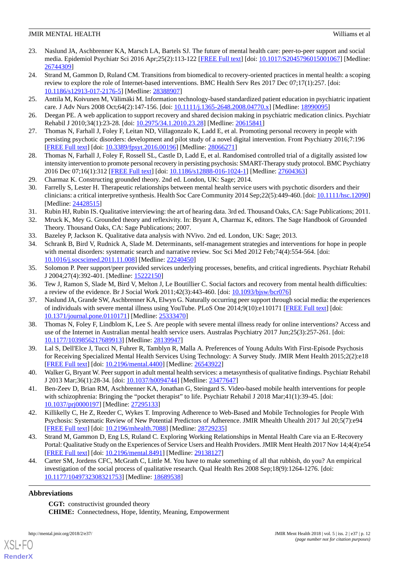- <span id="page-11-0"></span>23. Naslund JA, Aschbrenner KA, Marsch LA, Bartels SJ. The future of mental health care: peer-to-peer support and social media. Epidemiol Psychiatr Sci 2016 Apr;25(2):113-122 [\[FREE Full text\]](http://europepmc.org/abstract/MED/26744309) [doi: [10.1017/S2045796015001067\]](http://dx.doi.org/10.1017/S2045796015001067) [Medline: [26744309](http://www.ncbi.nlm.nih.gov/entrez/query.fcgi?cmd=Retrieve&db=PubMed&list_uids=26744309&dopt=Abstract)]
- <span id="page-11-1"></span>24. Strand M, Gammon D, Ruland CM. Transitions from biomedical to recovery-oriented practices in mental health: a scoping review to explore the role of Internet-based interventions. BMC Health Serv Res 2017 Dec 07;17(1):257. [doi: [10.1186/s12913-017-2176-5\]](http://dx.doi.org/10.1186/s12913-017-2176-5) [Medline: [28388907](http://www.ncbi.nlm.nih.gov/entrez/query.fcgi?cmd=Retrieve&db=PubMed&list_uids=28388907&dopt=Abstract)]
- <span id="page-11-3"></span><span id="page-11-2"></span>25. Anttila M, Koivunen M, Välimäki M. Information technology-based standardized patient education in psychiatric inpatient care. J Adv Nurs 2008 Oct;64(2):147-156. [doi: [10.1111/j.1365-2648.2008.04770.x\]](http://dx.doi.org/10.1111/j.1365-2648.2008.04770.x) [Medline: [18990095](http://www.ncbi.nlm.nih.gov/entrez/query.fcgi?cmd=Retrieve&db=PubMed&list_uids=18990095&dopt=Abstract)]
- <span id="page-11-4"></span>26. Deegan PE. A web application to support recovery and shared decision making in psychiatric medication clinics. Psychiatr Rehabil J 2010;34(1):23-28. [doi: [10.2975/34.1.2010.23.28\]](http://dx.doi.org/10.2975/34.1.2010.23.28) [Medline: [20615841\]](http://www.ncbi.nlm.nih.gov/entrez/query.fcgi?cmd=Retrieve&db=PubMed&list_uids=20615841&dopt=Abstract)
- <span id="page-11-5"></span>27. Thomas N, Farhall J, Foley F, Leitan ND, Villagonzalo K, Ladd E, et al. Promoting personal recovery in people with persisting psychotic disorders: development and pilot study of a novel digital intervention. Front Psychiatry 2016;7:196 [[FREE Full text](https://dx.doi.org/10.3389/fpsyt.2016.00196)] [doi: [10.3389/fpsyt.2016.00196\]](http://dx.doi.org/10.3389/fpsyt.2016.00196) [Medline: [28066271](http://www.ncbi.nlm.nih.gov/entrez/query.fcgi?cmd=Retrieve&db=PubMed&list_uids=28066271&dopt=Abstract)]
- <span id="page-11-6"></span>28. Thomas N, Farhall J, Foley F, Rossell SL, Castle D, Ladd E, et al. Randomised controlled trial of a digitally assisted low intensity intervention to promote personal recovery in persisting psychosis: SMART-Therapy study protocol. BMC Psychiatry 2016 Dec 07;16(1):312 [[FREE Full text](https://bmcpsychiatry.biomedcentral.com/articles/10.1186/s12888-016-1024-1)] [doi: [10.1186/s12888-016-1024-1\]](http://dx.doi.org/10.1186/s12888-016-1024-1) [Medline: [27604363](http://www.ncbi.nlm.nih.gov/entrez/query.fcgi?cmd=Retrieve&db=PubMed&list_uids=27604363&dopt=Abstract)]
- <span id="page-11-7"></span>29. Charmaz K. Constructing grounded theory. 2nd ed. London, UK: Sage; 2014.
- <span id="page-11-9"></span><span id="page-11-8"></span>30. Farrelly S, Lester H. Therapeutic relationships between mental health service users with psychotic disorders and their clinicians: a critical interpretive synthesis. Health Soc Care Community 2014 Sep;22(5):449-460. [doi: [10.1111/hsc.12090](http://dx.doi.org/10.1111/hsc.12090)] [Medline: [24428515](http://www.ncbi.nlm.nih.gov/entrez/query.fcgi?cmd=Retrieve&db=PubMed&list_uids=24428515&dopt=Abstract)]
- <span id="page-11-10"></span>31. Rubin HJ, Rubin IS. Qualitative interviewing: the art of hearing data. 3rd ed. Thousand Oaks, CA: Sage Publications; 2011.
- <span id="page-11-11"></span>32. Mruck K, Mey G. Grounded theory and reflexivity. In: Bryant A, Charmaz K, editors. The Sage Handbook of Grounded Theory. Thousand Oaks, CA: Sage Publications; 2007.
- 33. Bazeley P, Jackson K. Qualitative data analysis with NVivo. 2nd ed. London, UK: Sage; 2013.
- <span id="page-11-13"></span><span id="page-11-12"></span>34. Schrank B, Bird V, Rudnick A, Slade M. Determinants, self-management strategies and interventions for hope in people with mental disorders: systematic search and narrative review. Soc Sci Med 2012 Feb;74(4):554-564. [doi: [10.1016/j.socscimed.2011.11.008](http://dx.doi.org/10.1016/j.socscimed.2011.11.008)] [Medline: [22240450](http://www.ncbi.nlm.nih.gov/entrez/query.fcgi?cmd=Retrieve&db=PubMed&list_uids=22240450&dopt=Abstract)]
- <span id="page-11-14"></span>35. Solomon P. Peer support/peer provided services underlying processes, benefits, and critical ingredients. Psychiatr Rehabil J 2004;27(4):392-401. [Medline: [15222150](http://www.ncbi.nlm.nih.gov/entrez/query.fcgi?cmd=Retrieve&db=PubMed&list_uids=15222150&dopt=Abstract)]
- <span id="page-11-15"></span>36. Tew J, Ramon S, Slade M, Bird V, Melton J, Le Boutillier C. Social factors and recovery from mental health difficulties: a review of the evidence. Br J Social Work 2011;42(3):443-460. [doi: [10.1093/bjsw/bcr076](http://dx.doi.org/10.1093/bjsw/bcr076)]
- 37. Naslund JA, Grande SW, Aschbrenner KA, Elwyn G. Naturally occurring peer support through social media: the experiences of individuals with severe mental illness using YouTube. PLoS One 2014;9(10):e110171 [\[FREE Full text\]](http://dx.plos.org/10.1371/journal.pone.0110171) [doi: [10.1371/journal.pone.0110171\]](http://dx.doi.org/10.1371/journal.pone.0110171) [Medline: [25333470](http://www.ncbi.nlm.nih.gov/entrez/query.fcgi?cmd=Retrieve&db=PubMed&list_uids=25333470&dopt=Abstract)]
- <span id="page-11-17"></span><span id="page-11-16"></span>38. Thomas N, Foley F, Lindblom K, Lee S. Are people with severe mental illness ready for online interventions? Access and use of the Internet in Australian mental health service users. Australas Psychiatry 2017 Jun;25(3):257-261. [doi: [10.1177/1039856217689913\]](http://dx.doi.org/10.1177/1039856217689913) [Medline: [28139947\]](http://www.ncbi.nlm.nih.gov/entrez/query.fcgi?cmd=Retrieve&db=PubMed&list_uids=28139947&dopt=Abstract)
- <span id="page-11-18"></span>39. Lal S, Dell'Elce J, Tucci N, Fuhrer R, Tamblyn R, Malla A. Preferences of Young Adults With First-Episode Psychosis for Receiving Specialized Mental Health Services Using Technology: A Survey Study. JMIR Ment Health 2015;2(2):e18 [[FREE Full text](http://mental.jmir.org/2015/2/e18/)] [doi: [10.2196/mental.4400](http://dx.doi.org/10.2196/mental.4400)] [Medline: [26543922](http://www.ncbi.nlm.nih.gov/entrez/query.fcgi?cmd=Retrieve&db=PubMed&list_uids=26543922&dopt=Abstract)]
- <span id="page-11-19"></span>40. Walker G, Bryant W. Peer support in adult mental health services: a metasynthesis of qualitative findings. Psychiatr Rehabil J 2013 Mar;36(1):28-34. [doi: [10.1037/h0094744](http://dx.doi.org/10.1037/h0094744)] [Medline: [23477647](http://www.ncbi.nlm.nih.gov/entrez/query.fcgi?cmd=Retrieve&db=PubMed&list_uids=23477647&dopt=Abstract)]
- <span id="page-11-20"></span>41. Ben-Zeev D, Brian RM, Aschbrenner KA, Jonathan G, Steingard S. Video-based mobile health interventions for people with schizophrenia: Bringing the "pocket therapist" to life. Psychiatr Rehabil J 2018 Mar;41(1):39-45. [doi: [10.1037/prj0000197\]](http://dx.doi.org/10.1037/prj0000197) [Medline: [27295133\]](http://www.ncbi.nlm.nih.gov/entrez/query.fcgi?cmd=Retrieve&db=PubMed&list_uids=27295133&dopt=Abstract)
- <span id="page-11-21"></span>42. Killikelly C, He Z, Reeder C, Wykes T. Improving Adherence to Web-Based and Mobile Technologies for People With Psychosis: Systematic Review of New Potential Predictors of Adherence. JMIR Mhealth Uhealth 2017 Jul 20;5(7):e94 [[FREE Full text](http://mhealth.jmir.org/2017/7/e94/)] [doi: [10.2196/mhealth.7088\]](http://dx.doi.org/10.2196/mhealth.7088) [Medline: [28729235](http://www.ncbi.nlm.nih.gov/entrez/query.fcgi?cmd=Retrieve&db=PubMed&list_uids=28729235&dopt=Abstract)]
- 43. Strand M, Gammon D, Eng LS, Ruland C. Exploring Working Relationships in Mental Health Care via an E-Recovery Portal: Qualitative Study on the Experiences of Service Users and Health Providers. JMIR Ment Health 2017 Nov 14;4(4):e54 [[FREE Full text](http://mental.jmir.org/2017/4/e54/)] [doi: [10.2196/mental.8491](http://dx.doi.org/10.2196/mental.8491)] [Medline: [29138127](http://www.ncbi.nlm.nih.gov/entrez/query.fcgi?cmd=Retrieve&db=PubMed&list_uids=29138127&dopt=Abstract)]
- 44. Carter SM, Jordens CFC, McGrath C, Little M. You have to make something of all that rubbish, do you? An empirical investigation of the social process of qualitative research. Qual Health Res 2008 Sep;18(9):1264-1276. [doi: [10.1177/1049732308321753\]](http://dx.doi.org/10.1177/1049732308321753) [Medline: [18689538\]](http://www.ncbi.nlm.nih.gov/entrez/query.fcgi?cmd=Retrieve&db=PubMed&list_uids=18689538&dopt=Abstract)

# **Abbreviations**

[XSL](http://www.w3.org/Style/XSL)•FO **[RenderX](http://www.renderx.com/)**

**CGT:** constructivist grounded theory **CHIME:** Connectedness, Hope, Identity, Meaning, Empowerment